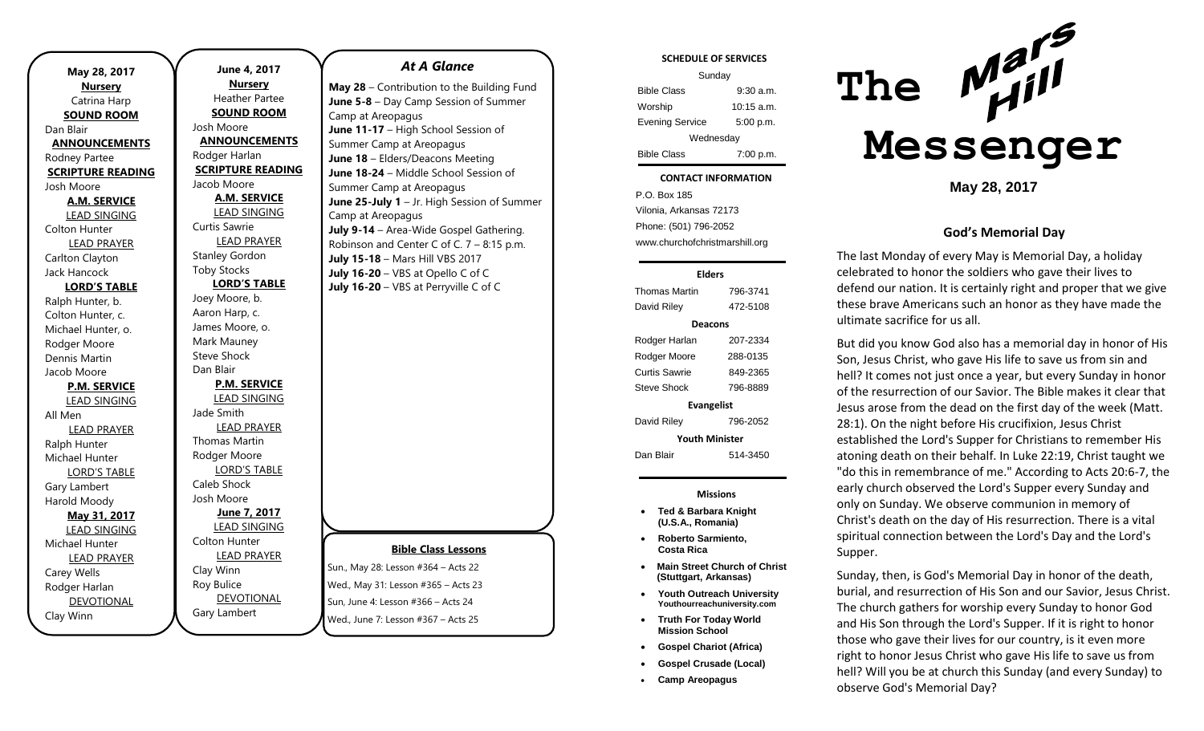| May 28, 2017             |  |  |
|--------------------------|--|--|
| <b>Nursery</b>           |  |  |
| Catrina Harp             |  |  |
| <b>SOUND ROOM</b>        |  |  |
| Dan Blair                |  |  |
| <b>ANNOUNCEMENTS</b>     |  |  |
| Rodney Partee            |  |  |
| <b>SCRIPTURE READING</b> |  |  |
| Josh Moore               |  |  |
| <b>A.M. SERVICE</b>      |  |  |
| <b>LEAD SINGING</b>      |  |  |
| Colton Hunter            |  |  |
| <b>LEAD PRAYER</b>       |  |  |
| Carlton Clayton          |  |  |
| Jack Hancock             |  |  |
| <b>LORD'S TABLE</b>      |  |  |
| Ralph Hunter, b.         |  |  |
| Colton Hunter, c.        |  |  |
| Michael Hunter, o.       |  |  |
| Rodger Moore             |  |  |
| Dennis Martin            |  |  |
| Jacob Moore              |  |  |
| <b>P.M. SERVICE</b>      |  |  |
| <b>LEAD SINGING</b>      |  |  |
| All Men                  |  |  |
| <b>LEAD PRAYER</b>       |  |  |
| Ralph Hunter             |  |  |
| Michael Hunter           |  |  |
| <b>LORD'S TABLE</b>      |  |  |
| Gary Lambert             |  |  |
| Harold Moody             |  |  |
| May 31, 2017             |  |  |
| <b>LEAD SINGING</b>      |  |  |
| Michael Hunter           |  |  |
| <b>LEAD PRAYER</b>       |  |  |
| Carey Wells              |  |  |
| Rodger Harlan            |  |  |
| <b>DEVOTIONAL</b>        |  |  |
| Clay Winn                |  |  |

**June 4, 2017 Nursery** Heather Partee **SOUND ROOM** Josh Moore **ANNOUNCEMENTS** Rodger Harlan **SCRIPTURE READING** Jacob Moore **A.M. SERVICE** LEAD SINGING Curtis Sawrie LEAD PRAYER Stanley Gordon Toby Stocks **LORD'S TABLE** Joey Moore, b. Aaron Harp, c. James Moore, o. Mark Mauney Steve Shock Dan Blair **P.M. SERVICE** LEAD SINGING Jade Smith LEAD PRAYER Thomas Martin Rodger Moore LORD'S TABLE Caleb Shock Josh Moore **June 7, 2017** LEAD SINGING Colton Hunter LEAD PRAYER Clay Winn Roy Bulice DEVOTIONAL Gary Lambert

#### *At A Glance*

**May 28** – Contribution to the Building Fund **June 5-8** – Day Camp Session of Summer Camp at Areopagus **June 11-17** – High School Session of Summer Camp at Areopagus **June 18** – Elders/Deacons Meeting **June 18-24** – Middle School Session of Summer Camp at Areopagus **June 25-July 1** – Jr. High Session of Summer Camp at Areopagus **July 9-14** – Area-Wide Gospel Gathering. Robinson and Center C of C. 7 – 8:15 p.m. **July 15-18** – Mars Hill VBS 2017 **July 16-20** – VBS at Opello C of C **July 16-20** – VBS at Perryville C of C

### **Bible Class Lessons**

Sun., May 28: Lesson #364 – Acts 22 Wed., May 31: Lesson #365 – Acts 23  $\frac{1}{2}$ Sun, June 4: Lesson #366 – Acts 24 Wed., June 7: Lesson #367 – Acts 25

### **SCHEDULE OF SERVICES** Sunday Bible Class 9:30 a.m. Worship 10:15 a.m. Evening Service 5:00 p.m. Wednesday Bible Class 7:00 p.m. tuesday<br>Tuesday **CONTACT INFORMATION** P.O. Box 185

. .o. Box 166<br>Vilonia, Arkansas 72173 Phone: (501) 796-2052 www.churchofchristmarshill.org

#### **Elders**

| Thomas Martin         | 796-3741 |  |
|-----------------------|----------|--|
| David Riley           | 472-5108 |  |
| Deacons               |          |  |
| Rodger Harlan         | 207-2334 |  |
| Rodger Moore          | 288-0135 |  |
| Curtis Sawrie         | 849-2365 |  |
| Steve Shock           | 796-8889 |  |
| <b>Evangelist</b>     |          |  |
| David Riley           | 796-2052 |  |
| <b>Youth Minister</b> |          |  |
| Dan Blair             | 514-3450 |  |

**Missions**

- **Ted & Barbara Knight (U.S.A., Romania)**
- **Roberto Sarmiento, Costa Rica**
- **Main Street Church of Christ (Stuttgart, Arkansas)**
- **Youth Outreach University Youthourreachuniversity.com**
- **Truth For Today World Mission School**
- **Gospel Chariot (Africa)**
- **Gospel Crusade (Local)**
- **Camp Areopagus**



**May 28, 2017**

#### **God's Memorial Day**

The last Monday of every May is Memorial Day, a holiday celebrated to honor the soldiers who gave their lives to defend our nation. It is certainly right and proper that we give these brave Americans such an honor as they have made the ultimate sacrifice for us all.

But did you know God also has a memorial day in honor of His Son, Jesus Christ, who gave His life to save us from sin and hell? It comes not just once a year, but every Sunday in honor of the resurrection of our Savior. The Bible makes it clear that Jesus arose from the dead on the first day of the week (Matt. 28:1). On the night before His crucifixion, Jesus Christ established the Lord's Supper for Christians to remember His atoning death on their behalf. In Luke 22:19, Christ taught we "do this in remembrance of me." According to Acts 20:6-7, the early church observed the Lord's Supper every Sunday and only on Sunday. We observe communion in memory of Christ's death on the day of His resurrection. There is a vital spiritual connection between the Lord's Day and the Lord's Supper.

Sunday, then, is God's Memorial Day in honor of the death, burial, and resurrection of His Son and our Savior, Jesus Christ. The church gathers for worship every Sunday to honor God and His Son through the Lord's Supper. If it is right to honor those who gave their lives for our country, is it even more right to honor Jesus Christ who gave His life to save us from hell? Will you be at church this Sunday (and every Sunday) to observe God's Memorial Day?